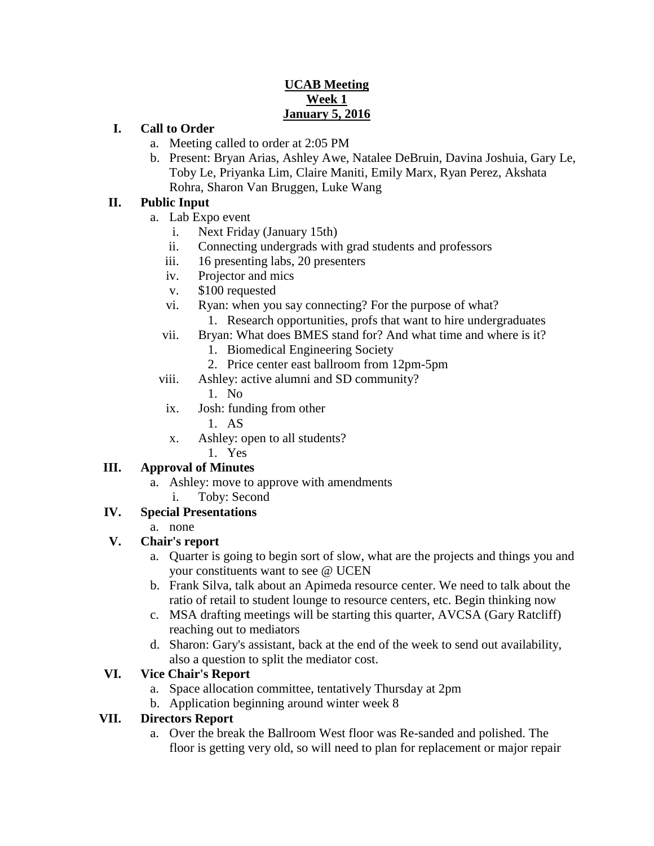### **UCAB Meeting Week 1 January 5, 2016**

#### **I. Call to Order**

- a. Meeting called to order at 2:05 PM
- b. Present: Bryan Arias, Ashley Awe, Natalee DeBruin, Davina Joshuia, Gary Le, Toby Le, Priyanka Lim, Claire Maniti, Emily Marx, Ryan Perez, Akshata Rohra, Sharon Van Bruggen, Luke Wang

#### **II. Public Input**

- a. Lab Expo event
	- i. Next Friday (January 15th)
	- ii. Connecting undergrads with grad students and professors
	- iii. 16 presenting labs, 20 presenters
	- iv. Projector and mics
	- v. \$100 requested
	- vi. Ryan: when you say connecting? For the purpose of what?
		- 1. Research opportunities, profs that want to hire undergraduates
	- vii. Bryan: What does BMES stand for? And what time and where is it?
		- 1. Biomedical Engineering Society
		- 2. Price center east ballroom from 12pm-5pm
	- viii. Ashley: active alumni and SD community?
		- 1. No
	- ix. Josh: funding from other
		- 1. AS
	- x. Ashley: open to all students?
		- 1. Yes

#### **III. Approval of Minutes**

- a. Ashley: move to approve with amendments
	- i. Toby: Second

# **IV. Special Presentations**

a. none

#### **V. Chair's report**

- a. Quarter is going to begin sort of slow, what are the projects and things you and your constituents want to see @ UCEN
- b. Frank Silva, talk about an Apimeda resource center. We need to talk about the ratio of retail to student lounge to resource centers, etc. Begin thinking now
- c. MSA drafting meetings will be starting this quarter, AVCSA (Gary Ratcliff) reaching out to mediators
- d. Sharon: Gary's assistant, back at the end of the week to send out availability, also a question to split the mediator cost.

# **VI. Vice Chair's Report**

- a. Space allocation committee, tentatively Thursday at 2pm
- b. Application beginning around winter week 8

# **VII. Directors Report**

a. Over the break the Ballroom West floor was Re-sanded and polished. The floor is getting very old, so will need to plan for replacement or major repair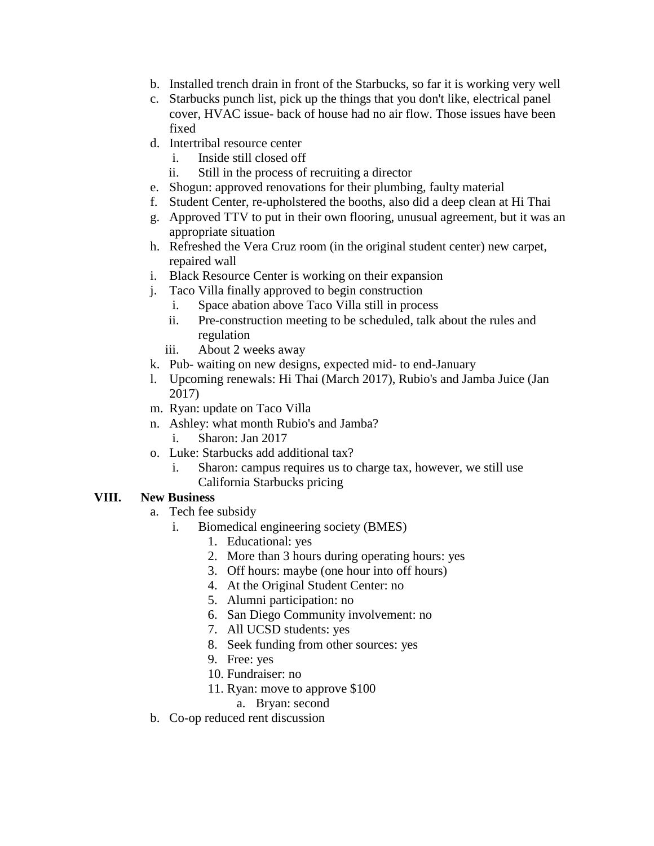- b. Installed trench drain in front of the Starbucks, so far it is working very well
- c. Starbucks punch list, pick up the things that you don't like, electrical panel cover, HVAC issue- back of house had no air flow. Those issues have been fixed
- d. Intertribal resource center
	- i. Inside still closed off
	- ii. Still in the process of recruiting a director
- e. Shogun: approved renovations for their plumbing, faulty material
- f. Student Center, re-upholstered the booths, also did a deep clean at Hi Thai
- g. Approved TTV to put in their own flooring, unusual agreement, but it was an appropriate situation
- h. Refreshed the Vera Cruz room (in the original student center) new carpet, repaired wall
- i. Black Resource Center is working on their expansion
- j. Taco Villa finally approved to begin construction
	- i. Space abation above Taco Villa still in process
	- ii. Pre-construction meeting to be scheduled, talk about the rules and regulation
	- iii. About 2 weeks away
- k. Pub- waiting on new designs, expected mid- to end-January
- l. Upcoming renewals: Hi Thai (March 2017), Rubio's and Jamba Juice (Jan 2017)
- m. Ryan: update on Taco Villa
- n. Ashley: what month Rubio's and Jamba?
	- i. Sharon: Jan 2017
- o. Luke: Starbucks add additional tax?
	- i. Sharon: campus requires us to charge tax, however, we still use California Starbucks pricing

# **VIII. New Business**

- a. Tech fee subsidy
	- i. Biomedical engineering society (BMES)
		- 1. Educational: yes
		- 2. More than 3 hours during operating hours: yes
		- 3. Off hours: maybe (one hour into off hours)
		- 4. At the Original Student Center: no
		- 5. Alumni participation: no
		- 6. San Diego Community involvement: no
		- 7. All UCSD students: yes
		- 8. Seek funding from other sources: yes
		- 9. Free: yes
		- 10. Fundraiser: no
		- 11. Ryan: move to approve \$100

#### a. Bryan: second

b. Co-op reduced rent discussion